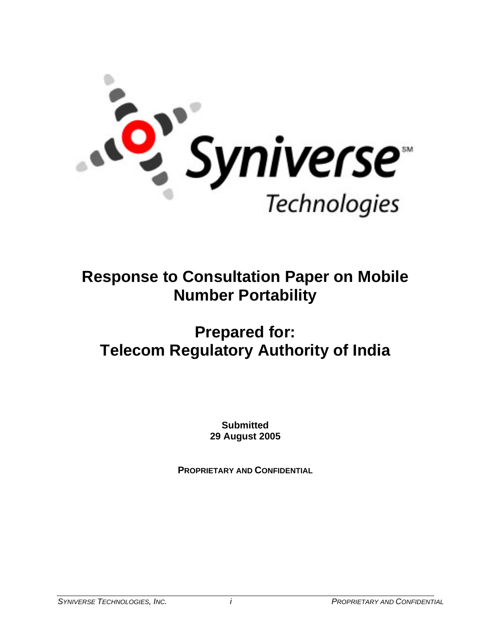

# **Response to Consultation Paper on Mobile Number Portability**

# **Prepared for: Telecom Regulatory Authority of India**

**Submitted 29 August 2005**

**PROPRIETARY AND CONFIDENTIAL**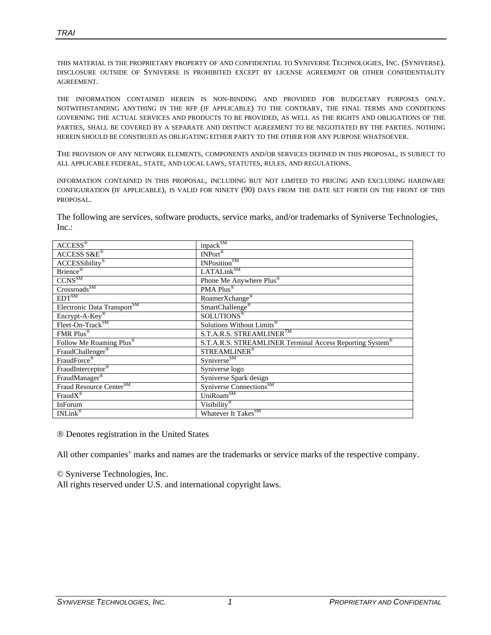*TRAI* 

THIS MATERIAL IS THE PROPRIETARY PROPERTY OF AND CONFIDENTIAL TO SYNIVERSE TECHNOLOGIES, INC. (SYNIVERSE). DISCLOSURE OUTSIDE OF SYNIVERSE IS PROHIBITED EXCEPT BY LICENSE AGREEMENT OR OTHER CONFIDENTIALITY AGREEMENT.

THE INFORMATION CONTAINED HEREIN IS NON-BINDING AND PROVIDED FOR BUDGETARY PURPOSES ONLY. NOTWITHSTANDING ANYTHING IN THE RFP (IF APPLICABLE) TO THE CONTRARY, THE FINAL TERMS AND CONDITIONS GOVERNING THE ACTUAL SERVICES AND PRODUCTS TO BE PROVIDED, AS WELL AS THE RIGHTS AND OBLIGATIONS OF THE PARTIES, SHALL BE COVERED BY A SEPARATE AND DISTINCT AGREEMENT TO BE NEGOTIATED BY THE PARTIES. NOTHING HEREIN SHOULD BE CONSTRUED AS OBLIGATING EITHER PARTY TO THE OTHER FOR ANY PURPOSE WHATSOEVER.

THE PROVISION OF ANY NETWORK ELEMENTS, COMPONENTS AND/OR SERVICES DEFINED IN THIS PROPOSAL, IS SUBJECT TO ALL APPLICABLE FEDERAL, STATE, AND LOCAL LAWS, STATUTES, RULES, AND REGULATIONS.

INFORMATION CONTAINED IN THIS PROPOSAL, INCLUDING BUT NOT LIMITED TO PRICING AND EXCLUDING HARDWARE CONFIGURATION (IF APPLICABLE), IS VALID FOR NINETY (90) DAYS FROM THE DATE SET FORTH ON THE FRONT OF THIS PROPOSAL.

The following are services, software products, service marks, and/or trademarks of Syniverse Technologies, Inc.:

| $\overline{ACCESS^{\otimes}}$           | inpack <sup>SM</sup>                                     |
|-----------------------------------------|----------------------------------------------------------|
| $ACCESSS\&E^{\circledast}$              | $INPort^{\circledR}$                                     |
| ACCESSibility <sup>®</sup>              | INPosition <sup>SM</sup>                                 |
| Brience <sup>®</sup>                    | LATALink <sup>SM</sup>                                   |
| $\overline{\text{CCNS}^{\text{SM}}}$    | Phone Me Anywhere Plus®                                  |
| Crossroads <sup>SM</sup>                | PMA Plus <sup>®</sup>                                    |
| $EDT^{SM}$                              | RoamerXchange <sup>®</sup>                               |
| Electronic Data Transport <sup>SM</sup> | SmartChallenge <sup>®</sup>                              |
| Encrypt-A-Key®                          | SOLUTIONS <sup>®</sup>                                   |
| Fleet-On-Track <sup>SM</sup>            | Solutions Without Limits®                                |
| FMR Plus®                               | S.T.A.R.S. STREAMLINERTM                                 |
| Follow Me Roaming Plus <sup>®</sup>     | S.T.A.R.S. STREAMLINER Terminal Access Reporting System® |
| FraudChallenger <sup>®</sup>            | STREAMLINER <sup>®</sup>                                 |
| FraudForce®                             | Syniverse <sup>SM</sup>                                  |
| FraudInterceptor®                       | Syniverse logo                                           |
| FraudManager®                           | Syniverse Spark design                                   |
| Fraud Resource Center <sup>SM</sup>     | Syniverse Connections <sup>SM</sup>                      |
| Fraud $X^{\circledR}$                   | UniRoam <sup>SM</sup>                                    |
| InForum                                 | Visibility®                                              |
| $INLink^{\overline{\otimes}}$           | Whatever It Takes <sup>SM</sup>                          |

® Denotes registration in the United States

All other companies' marks and names are the trademarks or service marks of the respective company.

© Syniverse Technologies, Inc. All rights reserved under U.S. and international copyright laws.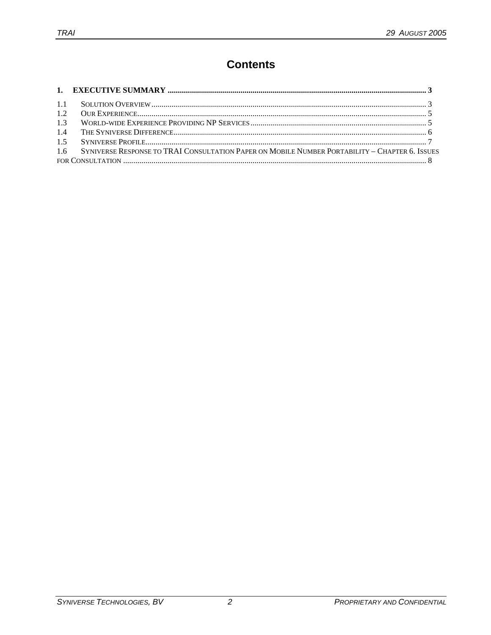# **Contents**

| 1.2 |                                                                                                    |  |
|-----|----------------------------------------------------------------------------------------------------|--|
| 1.3 |                                                                                                    |  |
| 1.4 |                                                                                                    |  |
|     |                                                                                                    |  |
|     | 1.6 SYNIVERSE RESPONSE TO TRAI CONSULTATION PAPER ON MOBILE NUMBER PORTABILITY - CHAPTER 6. ISSUES |  |
|     |                                                                                                    |  |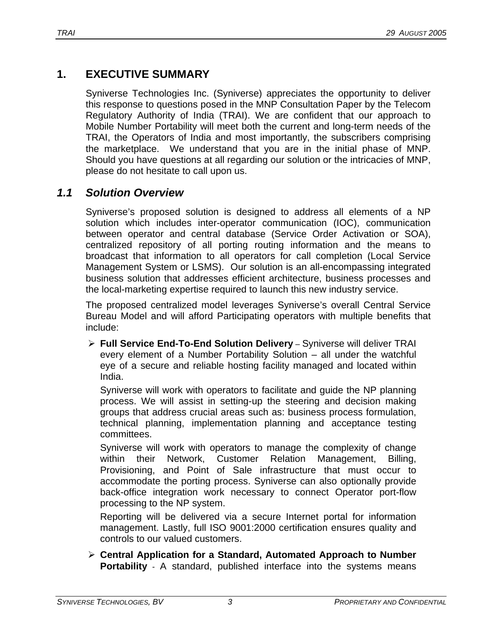# **1. EXECUTIVE SUMMARY**

Syniverse Technologies Inc. (Syniverse) appreciates the opportunity to deliver this response to questions posed in the MNP Consultation Paper by the Telecom Regulatory Authority of India (TRAI). We are confident that our approach to Mobile Number Portability will meet both the current and long-term needs of the TRAI, the Operators of India and most importantly, the subscribers comprising the marketplace. We understand that you are in the initial phase of MNP. Should you have questions at all regarding our solution or the intricacies of MNP, please do not hesitate to call upon us.

# *1.1 Solution Overview*

Syniverse's proposed solution is designed to address all elements of a NP solution which includes inter-operator communication (IOC), communication between operator and central database (Service Order Activation or SOA), centralized repository of all porting routing information and the means to broadcast that information to all operators for call completion (Local Service Management System or LSMS). Our solution is an all-encompassing integrated business solution that addresses efficient architecture, business processes and the local-marketing expertise required to launch this new industry service.

The proposed centralized model leverages Syniverse's overall Central Service Bureau Model and will afford Participating operators with multiple benefits that include:

¾ **Full Service End-To-End Solution Delivery** – Syniverse will deliver TRAI every element of a Number Portability Solution – all under the watchful eye of a secure and reliable hosting facility managed and located within India.

Syniverse will work with operators to facilitate and guide the NP planning process. We will assist in setting-up the steering and decision making groups that address crucial areas such as: business process formulation, technical planning, implementation planning and acceptance testing committees.

Syniverse will work with operators to manage the complexity of change within their Network, Customer Relation Management, Billing, Provisioning, and Point of Sale infrastructure that must occur to accommodate the porting process. Syniverse can also optionally provide back-office integration work necessary to connect Operator port-flow processing to the NP system.

Reporting will be delivered via a secure Internet portal for information management. Lastly, full ISO 9001:2000 certification ensures quality and controls to our valued customers.

¾ **Central Application for a Standard, Automated Approach to Number Portability** - A standard, published interface into the systems means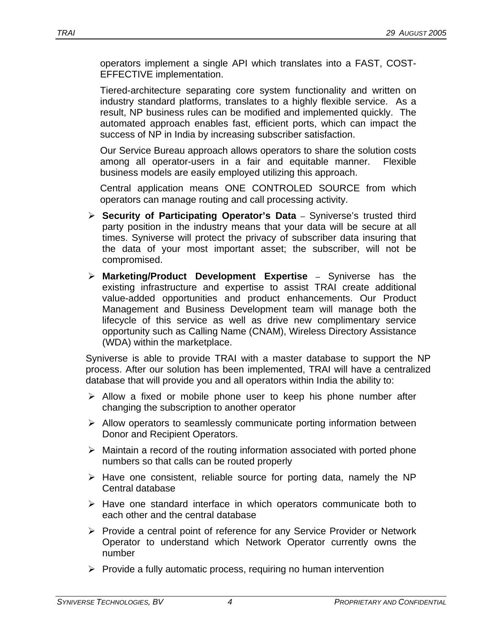operators implement a single API which translates into a FAST, COST-EFFECTIVE implementation.

Tiered-architecture separating core system functionality and written on industry standard platforms, translates to a highly flexible service. As a result, NP business rules can be modified and implemented quickly. The automated approach enables fast, efficient ports, which can impact the success of NP in India by increasing subscriber satisfaction.

Our Service Bureau approach allows operators to share the solution costs among all operator-users in a fair and equitable manner. Flexible business models are easily employed utilizing this approach.

Central application means ONE CONTROLED SOURCE from which operators can manage routing and call processing activity.

- ¾ **Security of Participating Operator's Data** Syniverse's trusted third party position in the industry means that your data will be secure at all times. Syniverse will protect the privacy of subscriber data insuring that the data of your most important asset; the subscriber, will not be compromised.
- ¾ **Marketing/Product Development Expertise** Syniverse has the existing infrastructure and expertise to assist TRAI create additional value-added opportunities and product enhancements. Our Product Management and Business Development team will manage both the lifecycle of this service as well as drive new complimentary service opportunity such as Calling Name (CNAM), Wireless Directory Assistance (WDA) within the marketplace.

Syniverse is able to provide TRAI with a master database to support the NP process. After our solution has been implemented, TRAI will have a centralized database that will provide you and all operators within India the ability to:

- $\triangleright$  Allow a fixed or mobile phone user to keep his phone number after changing the subscription to another operator
- $\triangleright$  Allow operators to seamlessly communicate porting information between Donor and Recipient Operators.
- $\triangleright$  Maintain a record of the routing information associated with ported phone numbers so that calls can be routed properly
- $\triangleright$  Have one consistent, reliable source for porting data, namely the NP Central database
- $\triangleright$  Have one standard interface in which operators communicate both to each other and the central database
- ¾ Provide a central point of reference for any Service Provider or Network Operator to understand which Network Operator currently owns the number
- $\triangleright$  Provide a fully automatic process, requiring no human intervention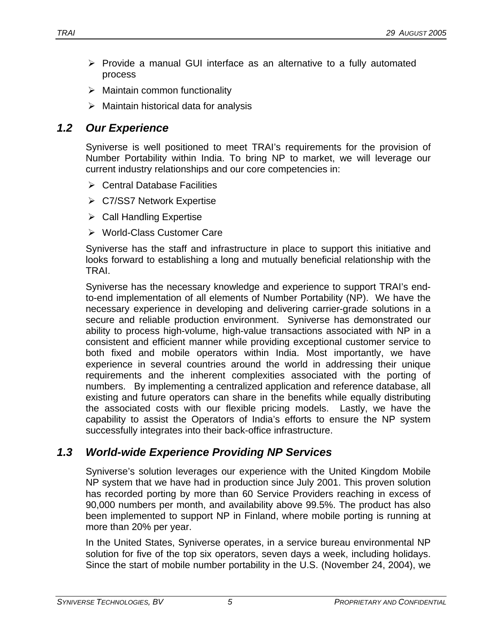- $\triangleright$  Provide a manual GUI interface as an alternative to a fully automated process
- $\triangleright$  Maintain common functionality
- $\triangleright$  Maintain historical data for analysis

# *1.2 Our Experience*

Syniverse is well positioned to meet TRAI's requirements for the provision of Number Portability within India. To bring NP to market, we will leverage our current industry relationships and our core competencies in:

- $\triangleright$  Central Database Facilities
- ¾ C7/SS7 Network Expertise
- $\triangleright$  Call Handling Expertise
- ¾ World-Class Customer Care

Syniverse has the staff and infrastructure in place to support this initiative and looks forward to establishing a long and mutually beneficial relationship with the TRAI.

Syniverse has the necessary knowledge and experience to support TRAI's endto-end implementation of all elements of Number Portability (NP). We have the necessary experience in developing and delivering carrier-grade solutions in a secure and reliable production environment. Syniverse has demonstrated our ability to process high-volume, high-value transactions associated with NP in a consistent and efficient manner while providing exceptional customer service to both fixed and mobile operators within India. Most importantly, we have experience in several countries around the world in addressing their unique requirements and the inherent complexities associated with the porting of numbers. By implementing a centralized application and reference database, all existing and future operators can share in the benefits while equally distributing the associated costs with our flexible pricing models. Lastly, we have the capability to assist the Operators of India's efforts to ensure the NP system successfully integrates into their back-office infrastructure.

# *1.3 World-wide Experience Providing NP Services*

Syniverse's solution leverages our experience with the United Kingdom Mobile NP system that we have had in production since July 2001. This proven solution has recorded porting by more than 60 Service Providers reaching in excess of 90,000 numbers per month, and availability above 99.5%. The product has also been implemented to support NP in Finland, where mobile porting is running at more than 20% per year.

In the United States, Syniverse operates, in a service bureau environmental NP solution for five of the top six operators, seven days a week, including holidays. Since the start of mobile number portability in the U.S. (November 24, 2004), we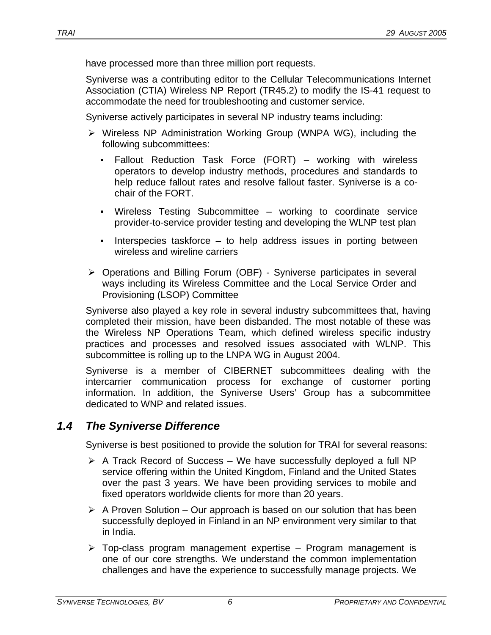have processed more than three million port requests.

Syniverse was a contributing editor to the Cellular Telecommunications Internet Association (CTIA) Wireless NP Report (TR45.2) to modify the IS-41 request to accommodate the need for troubleshooting and customer service.

Syniverse actively participates in several NP industry teams including:

- ¾ Wireless NP Administration Working Group (WNPA WG), including the following subcommittees:
	- Fallout Reduction Task Force (FORT) working with wireless operators to develop industry methods, procedures and standards to help reduce fallout rates and resolve fallout faster. Syniverse is a cochair of the FORT.
	- Wireless Testing Subcommittee working to coordinate service provider-to-service provider testing and developing the WLNP test plan
	- Interspecies taskforce  $-$  to help address issues in porting between wireless and wireline carriers
- ¾ Operations and Billing Forum (OBF) Syniverse participates in several ways including its Wireless Committee and the Local Service Order and Provisioning (LSOP) Committee

Syniverse also played a key role in several industry subcommittees that, having completed their mission, have been disbanded. The most notable of these was the Wireless NP Operations Team, which defined wireless specific industry practices and processes and resolved issues associated with WLNP. This subcommittee is rolling up to the LNPA WG in August 2004.

Syniverse is a member of CIBERNET subcommittees dealing with the intercarrier communication process for exchange of customer porting information. In addition, the Syniverse Users' Group has a subcommittee dedicated to WNP and related issues.

# *1.4 The Syniverse Difference*

Syniverse is best positioned to provide the solution for TRAI for several reasons:

- $\triangleright$  A Track Record of Success We have successfully deployed a full NP service offering within the United Kingdom, Finland and the United States over the past 3 years. We have been providing services to mobile and fixed operators worldwide clients for more than 20 years.
- $\triangleright$  A Proven Solution Our approach is based on our solution that has been successfully deployed in Finland in an NP environment very similar to that in India.
- $\triangleright$  Top-class program management expertise Program management is one of our core strengths. We understand the common implementation challenges and have the experience to successfully manage projects. We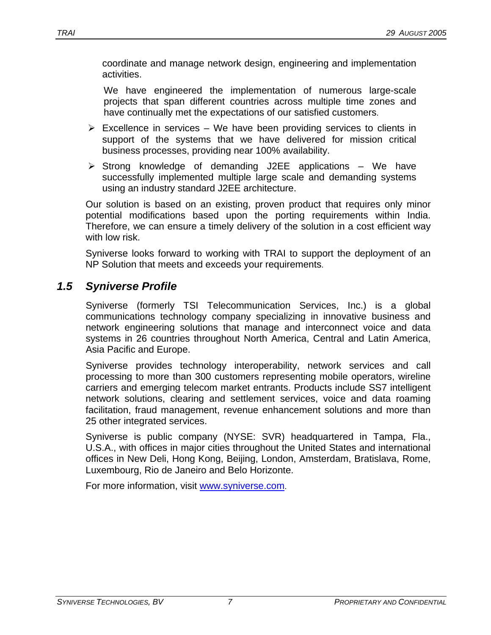coordinate and manage network design, engineering and implementation activities.

We have engineered the implementation of numerous large-scale projects that span different countries across multiple time zones and have continually met the expectations of our satisfied customers.

- $\triangleright$  Excellence in services We have been providing services to clients in support of the systems that we have delivered for mission critical business processes, providing near 100% availability.
- $\triangleright$  Strong knowledge of demanding J2EE applications We have successfully implemented multiple large scale and demanding systems using an industry standard J2EE architecture.

Our solution is based on an existing, proven product that requires only minor potential modifications based upon the porting requirements within India. Therefore, we can ensure a timely delivery of the solution in a cost efficient way with low risk.

Syniverse looks forward to working with TRAI to support the deployment of an NP Solution that meets and exceeds your requirements.

# *1.5 Syniverse Profile*

Syniverse (formerly TSI Telecommunication Services, Inc.) is a global communications technology company specializing in innovative business and network engineering solutions that manage and interconnect voice and data systems in 26 countries throughout North America, Central and Latin America, Asia Pacific and Europe.

Syniverse provides technology interoperability, network services and call processing to more than 300 customers representing mobile operators, wireline carriers and emerging telecom market entrants. Products include SS7 intelligent network solutions, clearing and settlement services, voice and data roaming facilitation, fraud management, revenue enhancement solutions and more than 25 other integrated services.

Syniverse is public company (NYSE: SVR) headquartered in Tampa, Fla., U.S.A., with offices in major cities throughout the United States and international offices in New Deli, Hong Kong, Beijing, London, Amsterdam, Bratislava, Rome, Luxembourg, Rio de Janeiro and Belo Horizonte.

For more information, visit www.syniverse.com.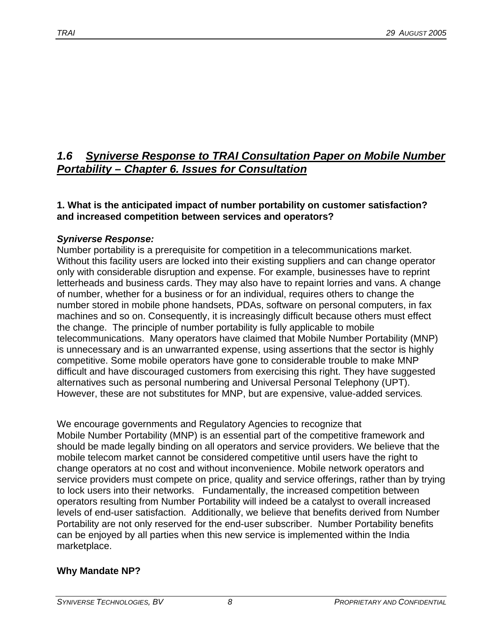# *1.6* U*Syniverse Response to TRAI Consultation Paper on Mobile Number Portability – Chapter 6. Issues for Consultation*

## **1. What is the anticipated impact of number portability on customer satisfaction? and increased competition between services and operators?**

# *Syniverse Response:*

Number portability is a prerequisite for competition in a telecommunications market. Without this facility users are locked into their existing suppliers and can change operator only with considerable disruption and expense. For example, businesses have to reprint letterheads and business cards. They may also have to repaint lorries and vans. A change of number, whether for a business or for an individual, requires others to change the number stored in mobile phone handsets, PDAs, software on personal computers, in fax machines and so on. Consequently, it is increasingly difficult because others must effect the change. The principle of number portability is fully applicable to mobile telecommunications. Many operators have claimed that Mobile Number Portability (MNP) is unnecessary and is an unwarranted expense, using assertions that the sector is highly competitive. Some mobile operators have gone to considerable trouble to make MNP difficult and have discouraged customers from exercising this right. They have suggested alternatives such as personal numbering and Universal Personal Telephony (UPT). However, these are not substitutes for MNP, but are expensive, value-added services*.* 

We encourage governments and Regulatory Agencies to recognize that Mobile Number Portability (MNP) is an essential part of the competitive framework and should be made legally binding on all operators and service providers. We believe that the mobile telecom market cannot be considered competitive until users have the right to change operators at no cost and without inconvenience. Mobile network operators and service providers must compete on price, quality and service offerings, rather than by trying to lock users into their networks. Fundamentally, the increased competition between operators resulting from Number Portability will indeed be a catalyst to overall increased levels of end-user satisfaction. Additionally, we believe that benefits derived from Number Portability are not only reserved for the end-user subscriber. Number Portability benefits can be enjoyed by all parties when this new service is implemented within the India marketplace.

# **Why Mandate NP?**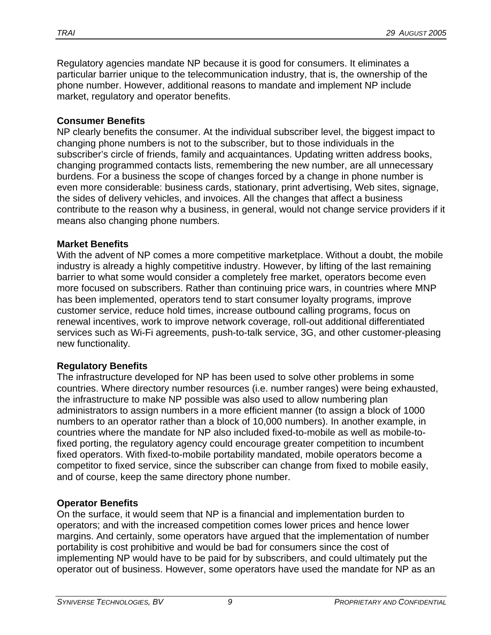Regulatory agencies mandate NP because it is good for consumers. It eliminates a particular barrier unique to the telecommunication industry, that is, the ownership of the phone number. However, additional reasons to mandate and implement NP include market, regulatory and operator benefits.

#### **Consumer Benefits**

NP clearly benefits the consumer. At the individual subscriber level, the biggest impact to changing phone numbers is not to the subscriber, but to those individuals in the subscriber's circle of friends, family and acquaintances. Updating written address books, changing programmed contacts lists, remembering the new number, are all unnecessary burdens. For a business the scope of changes forced by a change in phone number is even more considerable: business cards, stationary, print advertising, Web sites, signage, the sides of delivery vehicles, and invoices. All the changes that affect a business contribute to the reason why a business, in general, would not change service providers if it means also changing phone numbers.

#### **Market Benefits**

With the advent of NP comes a more competitive marketplace. Without a doubt, the mobile industry is already a highly competitive industry. However, by lifting of the last remaining barrier to what some would consider a completely free market, operators become even more focused on subscribers. Rather than continuing price wars, in countries where MNP has been implemented, operators tend to start consumer loyalty programs, improve customer service, reduce hold times, increase outbound calling programs, focus on renewal incentives, work to improve network coverage, roll-out additional differentiated services such as Wi-Fi agreements, push-to-talk service, 3G, and other customer-pleasing new functionality.

#### **Regulatory Benefits**

The infrastructure developed for NP has been used to solve other problems in some countries. Where directory number resources (i.e. number ranges) were being exhausted, the infrastructure to make NP possible was also used to allow numbering plan administrators to assign numbers in a more efficient manner (to assign a block of 1000 numbers to an operator rather than a block of 10,000 numbers). In another example, in countries where the mandate for NP also included fixed-to-mobile as well as mobile-tofixed porting, the regulatory agency could encourage greater competition to incumbent fixed operators. With fixed-to-mobile portability mandated, mobile operators become a competitor to fixed service, since the subscriber can change from fixed to mobile easily, and of course, keep the same directory phone number.

#### **Operator Benefits**

On the surface, it would seem that NP is a financial and implementation burden to operators; and with the increased competition comes lower prices and hence lower margins. And certainly, some operators have argued that the implementation of number portability is cost prohibitive and would be bad for consumers since the cost of implementing NP would have to be paid for by subscribers, and could ultimately put the operator out of business. However, some operators have used the mandate for NP as an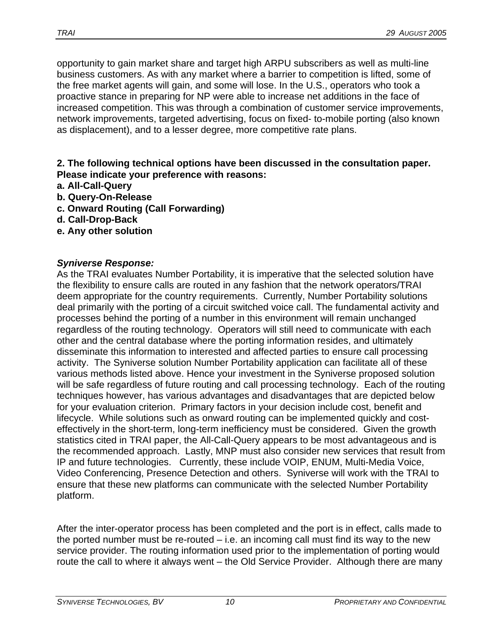opportunity to gain market share and target high ARPU subscribers as well as multi-line business customers. As with any market where a barrier to competition is lifted, some of the free market agents will gain, and some will lose. In the U.S., operators who took a proactive stance in preparing for NP were able to increase net additions in the face of increased competition. This was through a combination of customer service improvements, network improvements, targeted advertising, focus on fixed- to-mobile porting (also known as displacement), and to a lesser degree, more competitive rate plans.

#### **2. The following technical options have been discussed in the consultation paper. Please indicate your preference with reasons:**

- **a. All-Call-Query**
- **b. Query-On-Release**
- **c. Onward Routing (Call Forwarding)**
- **d. Call-Drop-Back**
- **e. Any other solution**

#### *Syniverse Response:*

As the TRAI evaluates Number Portability, it is imperative that the selected solution have the flexibility to ensure calls are routed in any fashion that the network operators/TRAI deem appropriate for the country requirements. Currently, Number Portability solutions deal primarily with the porting of a circuit switched voice call. The fundamental activity and processes behind the porting of a number in this environment will remain unchanged regardless of the routing technology. Operators will still need to communicate with each other and the central database where the porting information resides, and ultimately disseminate this information to interested and affected parties to ensure call processing activity. The Syniverse solution Number Portability application can facilitate all of these various methods listed above. Hence your investment in the Syniverse proposed solution will be safe regardless of future routing and call processing technology. Each of the routing techniques however, has various advantages and disadvantages that are depicted below for your evaluation criterion. Primary factors in your decision include cost, benefit and lifecycle. While solutions such as onward routing can be implemented quickly and costeffectively in the short-term, long-term inefficiency must be considered. Given the growth statistics cited in TRAI paper, the All-Call-Query appears to be most advantageous and is the recommended approach. Lastly, MNP must also consider new services that result from IP and future technologies. Currently, these include VOIP, ENUM, Multi-Media Voice, Video Conferencing, Presence Detection and others. Syniverse will work with the TRAI to ensure that these new platforms can communicate with the selected Number Portability platform.

After the inter-operator process has been completed and the port is in effect, calls made to the ported number must be re-routed – i.e. an incoming call must find its way to the new service provider. The routing information used prior to the implementation of porting would route the call to where it always went – the Old Service Provider. Although there are many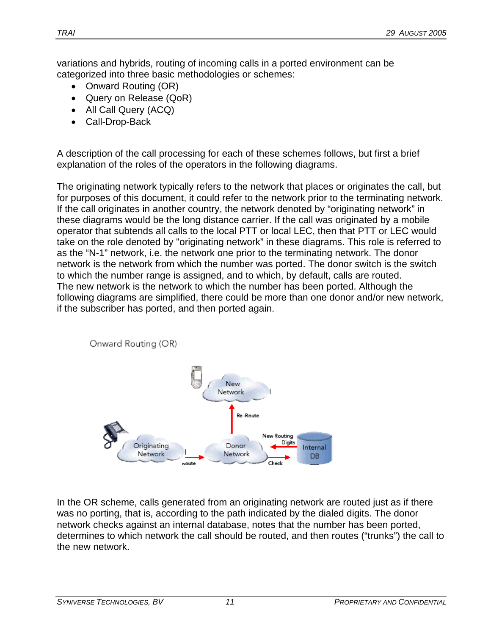variations and hybrids, routing of incoming calls in a ported environment can be categorized into three basic methodologies or schemes:

- Onward Routing (OR)
- Query on Release (QoR)
- All Call Query (ACQ)
- Call-Drop-Back

A description of the call processing for each of these schemes follows, but first a brief explanation of the roles of the operators in the following diagrams.

The originating network typically refers to the network that places or originates the call, but for purposes of this document, it could refer to the network prior to the terminating network. If the call originates in another country, the network denoted by "originating network" in these diagrams would be the long distance carrier. If the call was originated by a mobile operator that subtends all calls to the local PTT or local LEC, then that PTT or LEC would take on the role denoted by "originating network" in these diagrams. This role is referred to as the "N-1" network, i.e. the network one prior to the terminating network. The donor network is the network from which the number was ported. The donor switch is the switch to which the number range is assigned, and to which, by default, calls are routed. The new network is the network to which the number has been ported. Although the following diagrams are simplified, there could be more than one donor and/or new network, if the subscriber has ported, and then ported again.



In the OR scheme, calls generated from an originating network are routed just as if there was no porting, that is, according to the path indicated by the dialed digits. The donor network checks against an internal database, notes that the number has been ported, determines to which network the call should be routed, and then routes ("trunks") the call to the new network.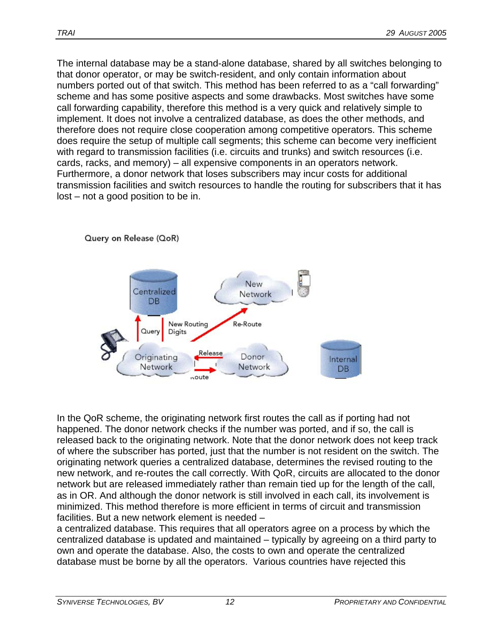The internal database may be a stand-alone database, shared by all switches belonging to that donor operator, or may be switch-resident, and only contain information about numbers ported out of that switch. This method has been referred to as a "call forwarding" scheme and has some positive aspects and some drawbacks. Most switches have some call forwarding capability, therefore this method is a very quick and relatively simple to implement. It does not involve a centralized database, as does the other methods, and therefore does not require close cooperation among competitive operators. This scheme does require the setup of multiple call segments; this scheme can become very inefficient with regard to transmission facilities (i.e. circuits and trunks) and switch resources (i.e. cards, racks, and memory) – all expensive components in an operators network. Furthermore, a donor network that loses subscribers may incur costs for additional transmission facilities and switch resources to handle the routing for subscribers that it has lost – not a good position to be in.



In the QoR scheme, the originating network first routes the call as if porting had not happened. The donor network checks if the number was ported, and if so, the call is released back to the originating network. Note that the donor network does not keep track of where the subscriber has ported, just that the number is not resident on the switch. The originating network queries a centralized database, determines the revised routing to the new network, and re-routes the call correctly. With QoR, circuits are allocated to the donor network but are released immediately rather than remain tied up for the length of the call, as in OR. And although the donor network is still involved in each call, its involvement is minimized. This method therefore is more efficient in terms of circuit and transmission facilities. But a new network element is needed –

a centralized database. This requires that all operators agree on a process by which the centralized database is updated and maintained – typically by agreeing on a third party to own and operate the database. Also, the costs to own and operate the centralized database must be borne by all the operators. Various countries have rejected this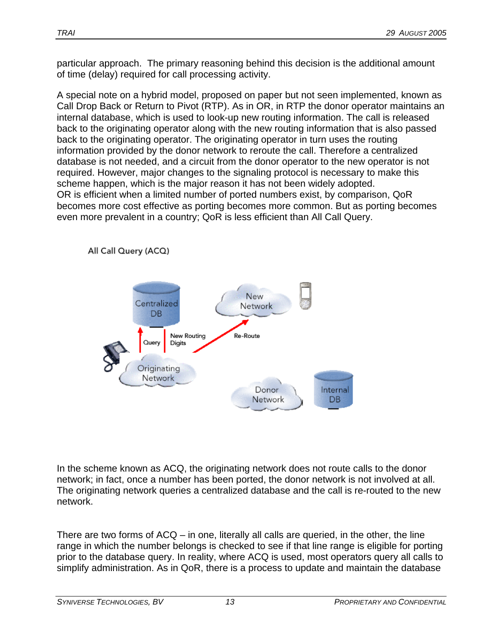particular approach. The primary reasoning behind this decision is the additional amount of time (delay) required for call processing activity.

A special note on a hybrid model, proposed on paper but not seen implemented, known as Call Drop Back or Return to Pivot (RTP). As in OR, in RTP the donor operator maintains an internal database, which is used to look-up new routing information. The call is released back to the originating operator along with the new routing information that is also passed back to the originating operator. The originating operator in turn uses the routing information provided by the donor network to reroute the call. Therefore a centralized database is not needed, and a circuit from the donor operator to the new operator is not required. However, major changes to the signaling protocol is necessary to make this scheme happen, which is the major reason it has not been widely adopted. OR is efficient when a limited number of ported numbers exist, by comparison, QoR becomes more cost effective as porting becomes more common. But as porting becomes even more prevalent in a country; QoR is less efficient than All Call Query.



In the scheme known as ACQ, the originating network does not route calls to the donor network; in fact, once a number has been ported, the donor network is not involved at all. The originating network queries a centralized database and the call is re-routed to the new network.

There are two forms of ACQ – in one, literally all calls are queried, in the other, the line range in which the number belongs is checked to see if that line range is eligible for porting prior to the database query. In reality, where ACQ is used, most operators query all calls to simplify administration. As in QoR, there is a process to update and maintain the database

All Call Query (ACQ)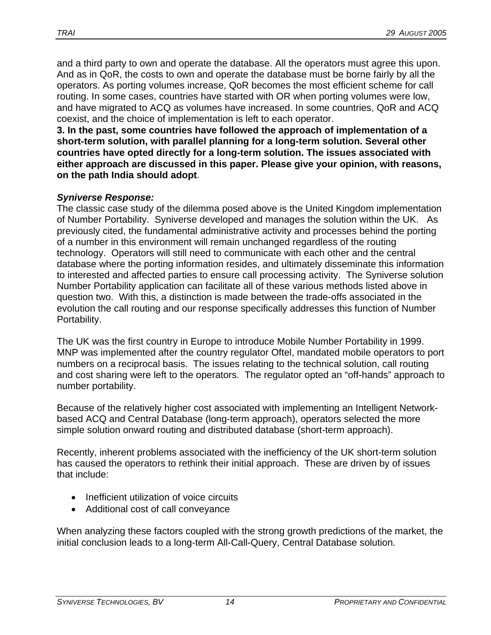and a third party to own and operate the database. All the operators must agree this upon. And as in QoR, the costs to own and operate the database must be borne fairly by all the operators. As porting volumes increase, QoR becomes the most efficient scheme for call routing. In some cases, countries have started with OR when porting volumes were low, and have migrated to ACQ as volumes have increased. In some countries, QoR and ACQ coexist, and the choice of implementation is left to each operator.

**3. In the past, some countries have followed the approach of implementation of a short-term solution, with parallel planning for a long-term solution. Several other countries have opted directly for a long-term solution. The issues associated with either approach are discussed in this paper. Please give your opinion, with reasons, on the path India should adopt**.

#### *Syniverse Response:*

The classic case study of the dilemma posed above is the United Kingdom implementation of Number Portability. Syniverse developed and manages the solution within the UK. As previously cited, the fundamental administrative activity and processes behind the porting of a number in this environment will remain unchanged regardless of the routing technology. Operators will still need to communicate with each other and the central database where the porting information resides, and ultimately disseminate this information to interested and affected parties to ensure call processing activity. The Syniverse solution Number Portability application can facilitate all of these various methods listed above in question two. With this, a distinction is made between the trade-offs associated in the evolution the call routing and our response specifically addresses this function of Number Portability.

The UK was the first country in Europe to introduce Mobile Number Portability in 1999. MNP was implemented after the country regulator Oftel, mandated mobile operators to port numbers on a reciprocal basis. The issues relating to the technical solution, call routing and cost sharing were left to the operators. The regulator opted an "off-hands" approach to number portability.

Because of the relatively higher cost associated with implementing an Intelligent Networkbased ACQ and Central Database (long-term approach), operators selected the more simple solution onward routing and distributed database (short-term approach).

Recently, inherent problems associated with the inefficiency of the UK short-term solution has caused the operators to rethink their initial approach. These are driven by of issues that include:

- Inefficient utilization of voice circuits
- Additional cost of call conveyance

When analyzing these factors coupled with the strong growth predictions of the market, the initial conclusion leads to a long-term All-Call-Query, Central Database solution.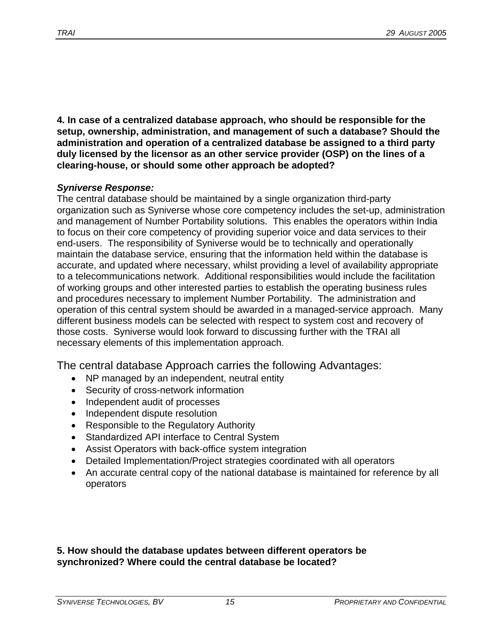**4. In case of a centralized database approach, who should be responsible for the setup, ownership, administration, and management of such a database? Should the administration and operation of a centralized database be assigned to a third party duly licensed by the licensor as an other service provider (OSP) on the lines of a clearing-house, or should some other approach be adopted?** 

#### *Syniverse Response:*

The central database should be maintained by a single organization third-party organization such as Syniverse whose core competency includes the set-up, administration and management of Number Portability solutions. This enables the operators within India to focus on their core competency of providing superior voice and data services to their end-users. The responsibility of Syniverse would be to technically and operationally maintain the database service, ensuring that the information held within the database is accurate, and updated where necessary, whilst providing a level of availability appropriate to a telecommunications network. Additional responsibilities would include the facilitation of working groups and other interested parties to establish the operating business rules and procedures necessary to implement Number Portability. The administration and operation of this central system should be awarded in a managed-service approach. Many different business models can be selected with respect to system cost and recovery of those costs. Syniverse would look forward to discussing further with the TRAI all necessary elements of this implementation approach.

The central database Approach carries the following Advantages:

- NP managed by an independent, neutral entity
- Security of cross-network information
- Independent audit of processes
- Independent dispute resolution
- Responsible to the Regulatory Authority
- Standardized API interface to Central System
- Assist Operators with back-office system integration
- Detailed Implementation/Project strategies coordinated with all operators
- An accurate central copy of the national database is maintained for reference by all operators

**5. How should the database updates between different operators be synchronized? Where could the central database be located?**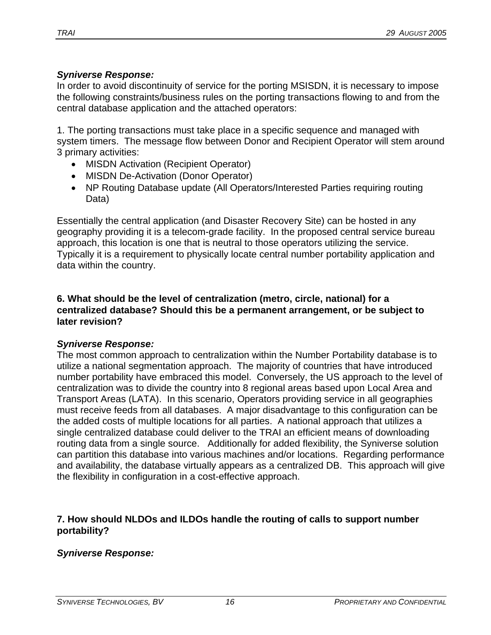#### *Syniverse Response:*

In order to avoid discontinuity of service for the porting MSISDN, it is necessary to impose the following constraints/business rules on the porting transactions flowing to and from the central database application and the attached operators:

1. The porting transactions must take place in a specific sequence and managed with system timers. The message flow between Donor and Recipient Operator will stem around 3 primary activities:

- MISDN Activation (Recipient Operator)
- MISDN De-Activation (Donor Operator)
- NP Routing Database update (All Operators/Interested Parties requiring routing Data)

Essentially the central application (and Disaster Recovery Site) can be hosted in any geography providing it is a telecom-grade facility. In the proposed central service bureau approach, this location is one that is neutral to those operators utilizing the service. Typically it is a requirement to physically locate central number portability application and data within the country.

#### **6. What should be the level of centralization (metro, circle, national) for a centralized database? Should this be a permanent arrangement, or be subject to later revision?**

# *Syniverse Response:*

The most common approach to centralization within the Number Portability database is to utilize a national segmentation approach. The majority of countries that have introduced number portability have embraced this model. Conversely, the US approach to the level of centralization was to divide the country into 8 regional areas based upon Local Area and Transport Areas (LATA). In this scenario, Operators providing service in all geographies must receive feeds from all databases. A major disadvantage to this configuration can be the added costs of multiple locations for all parties. A national approach that utilizes a single centralized database could deliver to the TRAI an efficient means of downloading routing data from a single source. Additionally for added flexibility, the Syniverse solution can partition this database into various machines and/or locations. Regarding performance and availability, the database virtually appears as a centralized DB. This approach will give the flexibility in configuration in a cost-effective approach.

#### **7. How should NLDOs and ILDOs handle the routing of calls to support number portability?**

# *Syniverse Response:*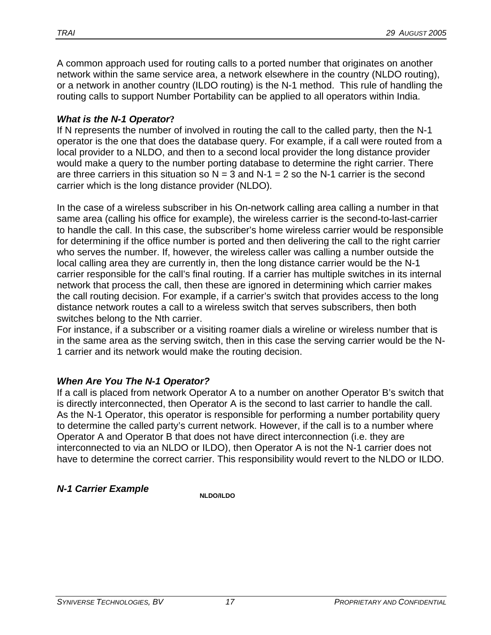A common approach used for routing calls to a ported number that originates on another network within the same service area, a network elsewhere in the country (NLDO routing), or a network in another country (ILDO routing) is the N-1 method. This rule of handling the routing calls to support Number Portability can be applied to all operators within India.

## *What is the N-1 Operator***?**

If N represents the number of involved in routing the call to the called party, then the N-1 operator is the one that does the database query. For example, if a call were routed from a local provider to a NLDO, and then to a second local provider the long distance provider would make a query to the number porting database to determine the right carrier. There are three carriers in this situation so  $N = 3$  and  $N-1 = 2$  so the N-1 carrier is the second carrier which is the long distance provider (NLDO).

In the case of a wireless subscriber in his On-network calling area calling a number in that same area (calling his office for example), the wireless carrier is the second-to-last-carrier to handle the call. In this case, the subscriber's home wireless carrier would be responsible for determining if the office number is ported and then delivering the call to the right carrier who serves the number. If, however, the wireless caller was calling a number outside the local calling area they are currently in, then the long distance carrier would be the N-1 carrier responsible for the call's final routing. If a carrier has multiple switches in its internal network that process the call, then these are ignored in determining which carrier makes the call routing decision. For example, if a carrier's switch that provides access to the long distance network routes a call to a wireless switch that serves subscribers, then both switches belong to the Nth carrier.

For instance, if a subscriber or a visiting roamer dials a wireline or wireless number that is in the same area as the serving switch, then in this case the serving carrier would be the N-1 carrier and its network would make the routing decision.

# *When Are You The N-1 Operator?*

If a call is placed from network Operator A to a number on another Operator B's switch that is directly interconnected, then Operator A is the second to last carrier to handle the call. As the N-1 Operator, this operator is responsible for performing a number portability query to determine the called party's current network. However, if the call is to a number where Operator A and Operator B that does not have direct interconnection (i.e. they are interconnected to via an NLDO or ILDO), then Operator A is not the N-1 carrier does not have to determine the correct carrier. This responsibility would revert to the NLDO or ILDO.

# *N-1 Carrier Example N-1 Carrier Example*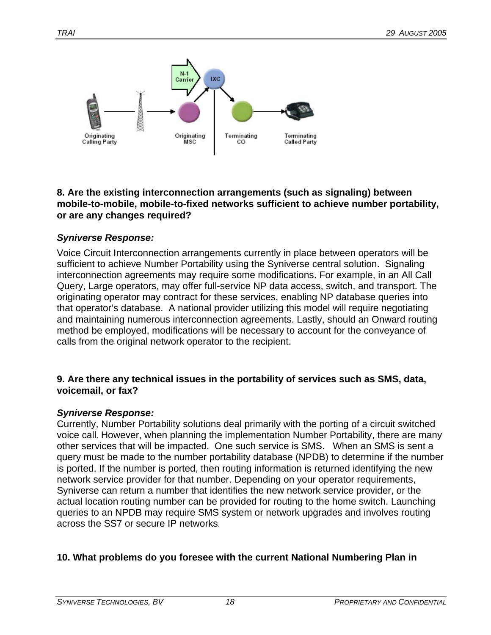

#### **8. Are the existing interconnection arrangements (such as signaling) between mobile-to-mobile, mobile-to-fixed networks sufficient to achieve number portability, or are any changes required?**

# *Syniverse Response:*

Voice Circuit Interconnection arrangements currently in place between operators will be sufficient to achieve Number Portability using the Syniverse central solution. Signaling interconnection agreements may require some modifications. For example, in an All Call Query, Large operators, may offer full-service NP data access, switch, and transport. The originating operator may contract for these services, enabling NP database queries into that operator's database. A national provider utilizing this model will require negotiating and maintaining numerous interconnection agreements. Lastly, should an Onward routing method be employed, modifications will be necessary to account for the conveyance of calls from the original network operator to the recipient.

#### **9. Are there any technical issues in the portability of services such as SMS, data, voicemail, or fax?**

#### *Syniverse Response:*

Currently, Number Portability solutions deal primarily with the porting of a circuit switched voice call. However, when planning the implementation Number Portability, there are many other services that will be impacted. One such service is SMS. When an SMS is sent a query must be made to the number portability database (NPDB) to determine if the number is ported. If the number is ported, then routing information is returned identifying the new network service provider for that number. Depending on your operator requirements, Syniverse can return a number that identifies the new network service provider, or the actual location routing number can be provided for routing to the home switch. Launching queries to an NPDB may require SMS system or network upgrades and involves routing across the SS7 or secure IP networks.

# **10. What problems do you foresee with the current National Numbering Plan in**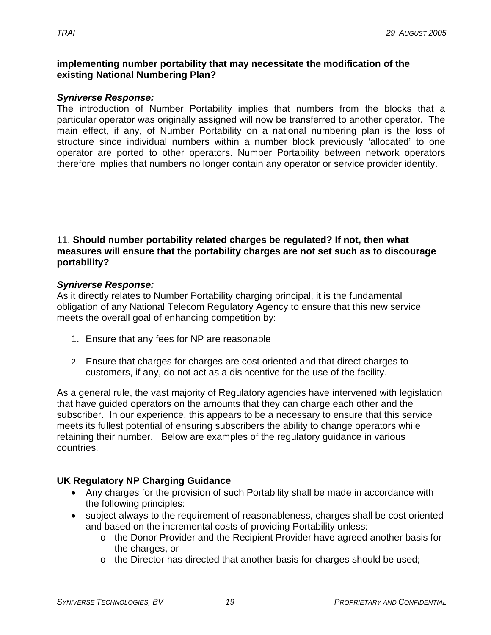#### **implementing number portability that may necessitate the modification of the existing National Numbering Plan?**

#### *Syniverse Response:*

The introduction of Number Portability implies that numbers from the blocks that a particular operator was originally assigned will now be transferred to another operator. The main effect, if any, of Number Portability on a national numbering plan is the loss of structure since individual numbers within a number block previously 'allocated' to one operator are ported to other operators. Number Portability between network operators therefore implies that numbers no longer contain any operator or service provider identity.

#### 11. **Should number portability related charges be regulated? If not, then what measures will ensure that the portability charges are not set such as to discourage portability?**

#### *Syniverse Response:*

As it directly relates to Number Portability charging principal, it is the fundamental obligation of any National Telecom Regulatory Agency to ensure that this new service meets the overall goal of enhancing competition by:

- 1. Ensure that any fees for NP are reasonable
- 2. Ensure that charges for charges are cost oriented and that direct charges to customers, if any, do not act as a disincentive for the use of the facility.

As a general rule, the vast majority of Regulatory agencies have intervened with legislation that have guided operators on the amounts that they can charge each other and the subscriber. In our experience, this appears to be a necessary to ensure that this service meets its fullest potential of ensuring subscribers the ability to change operators while retaining their number. Below are examples of the regulatory guidance in various countries.

# **UK Regulatory NP Charging Guidance**

- Any charges for the provision of such Portability shall be made in accordance with the following principles:
- subject always to the requirement of reasonableness, charges shall be cost oriented and based on the incremental costs of providing Portability unless:
	- o the Donor Provider and the Recipient Provider have agreed another basis for the charges, or
	- o the Director has directed that another basis for charges should be used;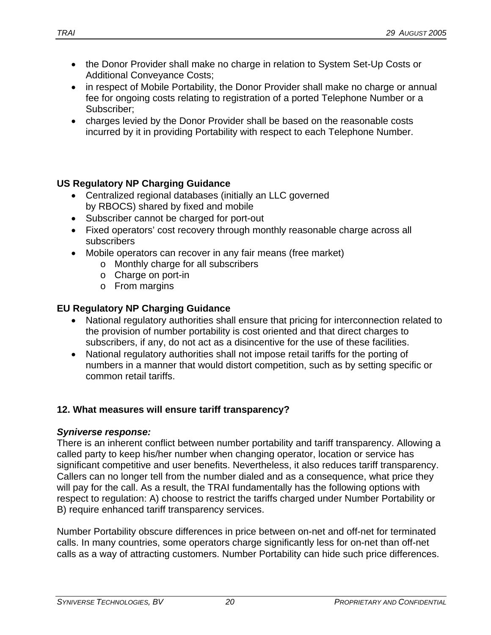- the Donor Provider shall make no charge in relation to System Set-Up Costs or Additional Conveyance Costs;
- in respect of Mobile Portability, the Donor Provider shall make no charge or annual fee for ongoing costs relating to registration of a ported Telephone Number or a Subscriber;
- charges levied by the Donor Provider shall be based on the reasonable costs incurred by it in providing Portability with respect to each Telephone Number.

# **US Regulatory NP Charging Guidance**

- Centralized regional databases (initially an LLC governed by RBOCS) shared by fixed and mobile
- Subscriber cannot be charged for port-out
- Fixed operators' cost recovery through monthly reasonable charge across all subscribers
- Mobile operators can recover in any fair means (free market)
	- o Monthly charge for all subscribers
	- o Charge on port-in
	- o From margins

# **EU Regulatory NP Charging Guidance**

- National regulatory authorities shall ensure that pricing for interconnection related to the provision of number portability is cost oriented and that direct charges to subscribers, if any, do not act as a disincentive for the use of these facilities.
- National regulatory authorities shall not impose retail tariffs for the porting of numbers in a manner that would distort competition, such as by setting specific or common retail tariffs.

# **12. What measures will ensure tariff transparency?**

#### *Syniverse response:*

There is an inherent conflict between number portability and tariff transparency. Allowing a called party to keep his/her number when changing operator, location or service has significant competitive and user benefits. Nevertheless, it also reduces tariff transparency. Callers can no longer tell from the number dialed and as a consequence, what price they will pay for the call. As a result, the TRAI fundamentally has the following options with respect to regulation: A) choose to restrict the tariffs charged under Number Portability or B) require enhanced tariff transparency services.

Number Portability obscure differences in price between on-net and off-net for terminated calls. In many countries, some operators charge significantly less for on-net than off-net calls as a way of attracting customers. Number Portability can hide such price differences.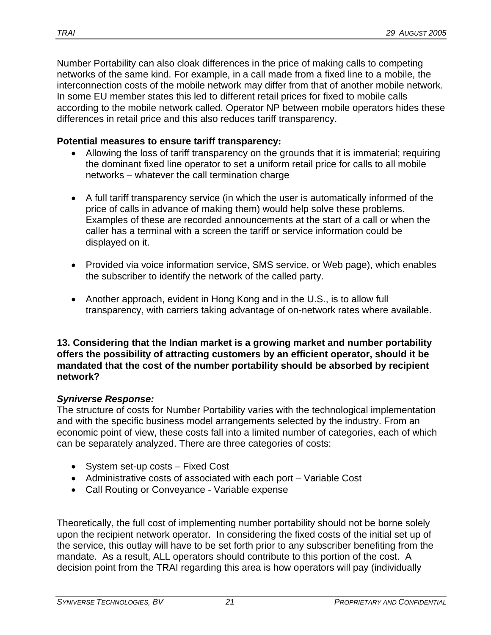Number Portability can also cloak differences in the price of making calls to competing networks of the same kind. For example, in a call made from a fixed line to a mobile, the interconnection costs of the mobile network may differ from that of another mobile network. In some EU member states this led to different retail prices for fixed to mobile calls according to the mobile network called. Operator NP between mobile operators hides these differences in retail price and this also reduces tariff transparency.

#### **Potential measures to ensure tariff transparency:**

- Allowing the loss of tariff transparency on the grounds that it is immaterial; requiring the dominant fixed line operator to set a uniform retail price for calls to all mobile networks – whatever the call termination charge
- A full tariff transparency service (in which the user is automatically informed of the price of calls in advance of making them) would help solve these problems. Examples of these are recorded announcements at the start of a call or when the caller has a terminal with a screen the tariff or service information could be displayed on it.
- Provided via voice information service, SMS service, or Web page), which enables the subscriber to identify the network of the called party.
- Another approach, evident in Hong Kong and in the U.S., is to allow full transparency, with carriers taking advantage of on-network rates where available.

**13. Considering that the Indian market is a growing market and number portability offers the possibility of attracting customers by an efficient operator, should it be mandated that the cost of the number portability should be absorbed by recipient network?** 

# *Syniverse Response:*

The structure of costs for Number Portability varies with the technological implementation and with the specific business model arrangements selected by the industry. From an economic point of view, these costs fall into a limited number of categories, each of which can be separately analyzed. There are three categories of costs:

- System set-up costs Fixed Cost
- Administrative costs of associated with each port Variable Cost
- Call Routing or Conveyance Variable expense

Theoretically, the full cost of implementing number portability should not be borne solely upon the recipient network operator. In considering the fixed costs of the initial set up of the service, this outlay will have to be set forth prior to any subscriber benefiting from the mandate. As a result, ALL operators should contribute to this portion of the cost. A decision point from the TRAI regarding this area is how operators will pay (individually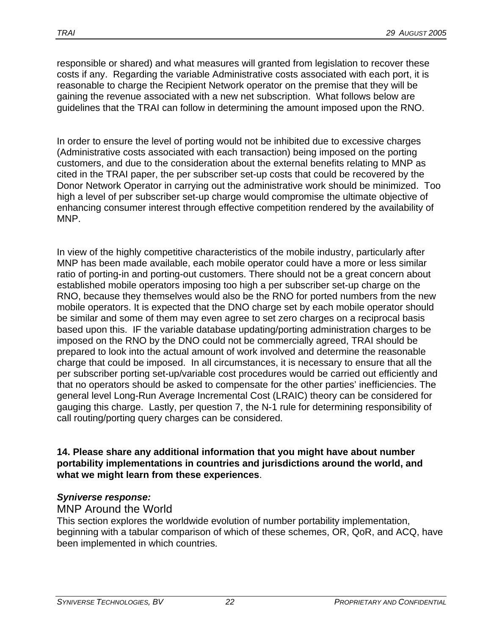responsible or shared) and what measures will granted from legislation to recover these costs if any. Regarding the variable Administrative costs associated with each port, it is reasonable to charge the Recipient Network operator on the premise that they will be gaining the revenue associated with a new net subscription. What follows below are guidelines that the TRAI can follow in determining the amount imposed upon the RNO.

In order to ensure the level of porting would not be inhibited due to excessive charges (Administrative costs associated with each transaction) being imposed on the porting customers, and due to the consideration about the external benefits relating to MNP as cited in the TRAI paper, the per subscriber set-up costs that could be recovered by the Donor Network Operator in carrying out the administrative work should be minimized. Too high a level of per subscriber set-up charge would compromise the ultimate objective of enhancing consumer interest through effective competition rendered by the availability of MNP.

In view of the highly competitive characteristics of the mobile industry, particularly after MNP has been made available, each mobile operator could have a more or less similar ratio of porting-in and porting-out customers. There should not be a great concern about established mobile operators imposing too high a per subscriber set-up charge on the RNO, because they themselves would also be the RNO for ported numbers from the new mobile operators. It is expected that the DNO charge set by each mobile operator should be similar and some of them may even agree to set zero charges on a reciprocal basis based upon this. IF the variable database updating/porting administration charges to be imposed on the RNO by the DNO could not be commercially agreed, TRAI should be prepared to look into the actual amount of work involved and determine the reasonable charge that could be imposed. In all circumstances, it is necessary to ensure that all the per subscriber porting set-up/variable cost procedures would be carried out efficiently and that no operators should be asked to compensate for the other parties' inefficiencies. The general level Long-Run Average Incremental Cost (LRAIC) theory can be considered for gauging this charge. Lastly, per question 7, the N-1 rule for determining responsibility of call routing/porting query charges can be considered.

**14. Please share any additional information that you might have about number portability implementations in countries and jurisdictions around the world, and what we might learn from these experiences**.

# *Syniverse response:*

# MNP Around the World

This section explores the worldwide evolution of number portability implementation, beginning with a tabular comparison of which of these schemes, OR, QoR, and ACQ, have been implemented in which countries.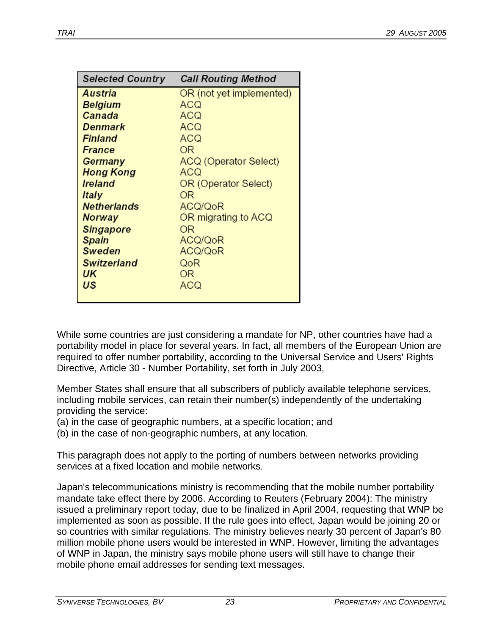| <b>Selected Country</b> | <b>Call Routing Method</b> |
|-------------------------|----------------------------|
| Austria                 | OR (not yet implemented)   |
| Belgium                 | ACQ                        |
| Canada                  | ACQ                        |
| Denmark                 | ACQ                        |
| Finland                 | ACQ                        |
| France                  | ΟR                         |
| Germany                 | ACQ (Operator Select)      |
| <b>Hong Kong</b>        | ACQ                        |
| <b>Ireland</b>          | OR (Operator Select)       |
| Italy                   | OR                         |
| <b>Netherlands</b>      | ACQ/QoR                    |
| Norway                  | OR migrating to ACQ        |
| <b>Singapore</b>        | OR                         |
| Spain                   | ACQ/QoR                    |
| <b>Sweden</b>           | ACQ/QoR                    |
| <b>Switzerland</b>      | QoR                        |
| UK                      | ΟR                         |
| US                      | ACQ                        |
|                         |                            |

While some countries are just considering a mandate for NP, other countries have had a portability model in place for several years. In fact, all members of the European Union are required to offer number portability, according to the Universal Service and Users' Rights Directive, Article 30 - Number Portability, set forth in July 2003,

Member States shall ensure that all subscribers of publicly available telephone services, including mobile services, can retain their number(s) independently of the undertaking providing the service:

(a) in the case of geographic numbers, at a specific location; and

(b) in the case of non-geographic numbers, at any location.

This paragraph does not apply to the porting of numbers between networks providing services at a fixed location and mobile networks*.* 

Japan's telecommunications ministry is recommending that the mobile number portability mandate take effect there by 2006. According to Reuters (February 2004): The ministry issued a preliminary report today, due to be finalized in April 2004, requesting that WNP be implemented as soon as possible. If the rule goes into effect, Japan would be joining 20 or so countries with similar regulations. The ministry believes nearly 30 percent of Japan's 80 million mobile phone users would be interested in WNP. However, limiting the advantages of WNP in Japan, the ministry says mobile phone users will still have to change their mobile phone email addresses for sending text messages.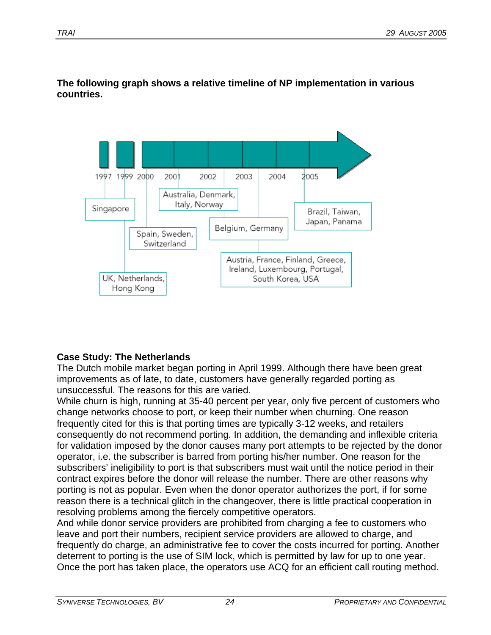

**The following graph shows a relative timeline of NP implementation in various countries.** 

# **Case Study: The Netherlands**

The Dutch mobile market began porting in April 1999. Although there have been great improvements as of late, to date, customers have generally regarded porting as unsuccessful. The reasons for this are varied.

While churn is high, running at 35-40 percent per year, only five percent of customers who change networks choose to port, or keep their number when churning. One reason frequently cited for this is that porting times are typically 3-12 weeks, and retailers consequently do not recommend porting. In addition, the demanding and inflexible criteria for validation imposed by the donor causes many port attempts to be rejected by the donor operator, i.e. the subscriber is barred from porting his/her number. One reason for the subscribers' ineligibility to port is that subscribers must wait until the notice period in their contract expires before the donor will release the number. There are other reasons why porting is not as popular. Even when the donor operator authorizes the port, if for some reason there is a technical glitch in the changeover, there is little practical cooperation in resolving problems among the fiercely competitive operators.

And while donor service providers are prohibited from charging a fee to customers who leave and port their numbers, recipient service providers are allowed to charge, and frequently do charge, an administrative fee to cover the costs incurred for porting. Another deterrent to porting is the use of SIM lock, which is permitted by law for up to one year. Once the port has taken place, the operators use ACQ for an efficient call routing method.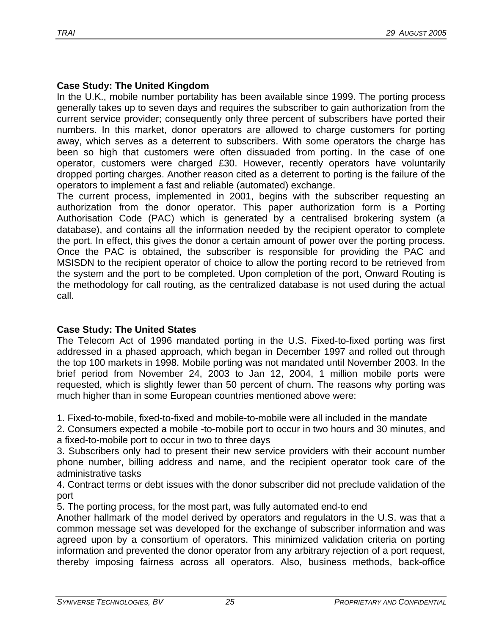# **Case Study: The United Kingdom**

In the U.K., mobile number portability has been available since 1999. The porting process generally takes up to seven days and requires the subscriber to gain authorization from the current service provider; consequently only three percent of subscribers have ported their numbers. In this market, donor operators are allowed to charge customers for porting away, which serves as a deterrent to subscribers. With some operators the charge has been so high that customers were often dissuaded from porting. In the case of one operator, customers were charged £30. However, recently operators have voluntarily dropped porting charges. Another reason cited as a deterrent to porting is the failure of the operators to implement a fast and reliable (automated) exchange.

The current process, implemented in 2001, begins with the subscriber requesting an authorization from the donor operator. This paper authorization form is a Porting Authorisation Code (PAC) which is generated by a centralised brokering system (a database), and contains all the information needed by the recipient operator to complete the port. In effect, this gives the donor a certain amount of power over the porting process. Once the PAC is obtained, the subscriber is responsible for providing the PAC and MSISDN to the recipient operator of choice to allow the porting record to be retrieved from the system and the port to be completed. Upon completion of the port, Onward Routing is the methodology for call routing, as the centralized database is not used during the actual call.

# **Case Study: The United States**

The Telecom Act of 1996 mandated porting in the U.S. Fixed-to-fixed porting was first addressed in a phased approach, which began in December 1997 and rolled out through the top 100 markets in 1998. Mobile porting was not mandated until November 2003. In the brief period from November 24, 2003 to Jan 12, 2004, 1 million mobile ports were requested, which is slightly fewer than 50 percent of churn. The reasons why porting was much higher than in some European countries mentioned above were:

1. Fixed-to-mobile, fixed-to-fixed and mobile-to-mobile were all included in the mandate

2. Consumers expected a mobile -to-mobile port to occur in two hours and 30 minutes, and a fixed-to-mobile port to occur in two to three days

3. Subscribers only had to present their new service providers with their account number phone number, billing address and name, and the recipient operator took care of the administrative tasks

4. Contract terms or debt issues with the donor subscriber did not preclude validation of the port

5. The porting process, for the most part, was fully automated end-to end

Another hallmark of the model derived by operators and regulators in the U.S. was that a common message set was developed for the exchange of subscriber information and was agreed upon by a consortium of operators. This minimized validation criteria on porting information and prevented the donor operator from any arbitrary rejection of a port request, thereby imposing fairness across all operators. Also, business methods, back-office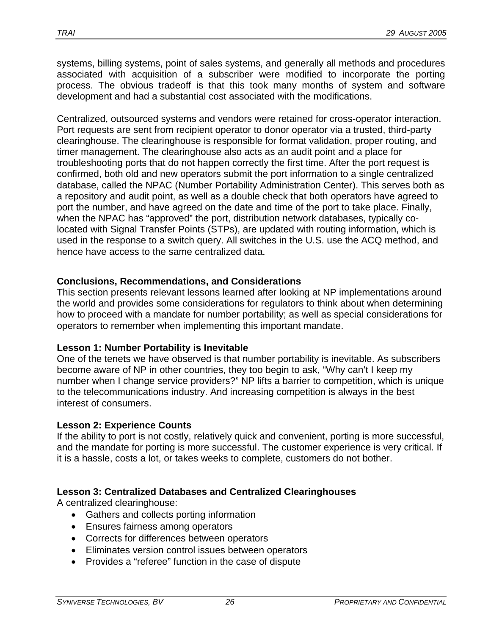systems, billing systems, point of sales systems, and generally all methods and procedures associated with acquisition of a subscriber were modified to incorporate the porting process. The obvious tradeoff is that this took many months of system and software development and had a substantial cost associated with the modifications.

Centralized, outsourced systems and vendors were retained for cross-operator interaction. Port requests are sent from recipient operator to donor operator via a trusted, third-party clearinghouse. The clearinghouse is responsible for format validation, proper routing, and timer management. The clearinghouse also acts as an audit point and a place for troubleshooting ports that do not happen correctly the first time. After the port request is confirmed, both old and new operators submit the port information to a single centralized database, called the NPAC (Number Portability Administration Center). This serves both as a repository and audit point, as well as a double check that both operators have agreed to port the number, and have agreed on the date and time of the port to take place. Finally, when the NPAC has "approved" the port, distribution network databases, typically colocated with Signal Transfer Points (STPs), are updated with routing information, which is used in the response to a switch query. All switches in the U.S. use the ACQ method, and hence have access to the same centralized data.

#### **Conclusions, Recommendations, and Considerations**

This section presents relevant lessons learned after looking at NP implementations around the world and provides some considerations for regulators to think about when determining how to proceed with a mandate for number portability; as well as special considerations for operators to remember when implementing this important mandate.

#### **Lesson 1: Number Portability is Inevitable**

One of the tenets we have observed is that number portability is inevitable. As subscribers become aware of NP in other countries, they too begin to ask, "Why can't I keep my number when I change service providers?" NP lifts a barrier to competition, which is unique to the telecommunications industry. And increasing competition is always in the best interest of consumers.

#### **Lesson 2: Experience Counts**

If the ability to port is not costly, relatively quick and convenient, porting is more successful, and the mandate for porting is more successful. The customer experience is very critical. If it is a hassle, costs a lot, or takes weeks to complete, customers do not bother.

# **Lesson 3: Centralized Databases and Centralized Clearinghouses**

A centralized clearinghouse:

- Gathers and collects porting information
- Ensures fairness among operators
- Corrects for differences between operators
- Eliminates version control issues between operators
- Provides a "referee" function in the case of dispute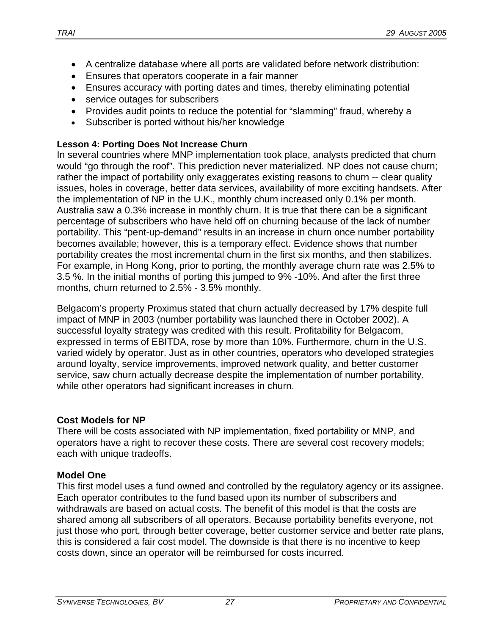- A centralize database where all ports are validated before network distribution:
- Ensures that operators cooperate in a fair manner
- Ensures accuracy with porting dates and times, thereby eliminating potential
- service outages for subscribers
- Provides audit points to reduce the potential for "slamming" fraud, whereby a
- Subscriber is ported without his/her knowledge

# **Lesson 4: Porting Does Not Increase Churn**

In several countries where MNP implementation took place, analysts predicted that churn would "go through the roof". This prediction never materialized. NP does not cause churn; rather the impact of portability only exaggerates existing reasons to churn -- clear quality issues, holes in coverage, better data services, availability of more exciting handsets. After the implementation of NP in the U.K., monthly churn increased only 0.1% per month. Australia saw a 0.3% increase in monthly churn. It is true that there can be a significant percentage of subscribers who have held off on churning because of the lack of number portability. This "pent-up-demand" results in an increase in churn once number portability becomes available; however, this is a temporary effect. Evidence shows that number portability creates the most incremental churn in the first six months, and then stabilizes. For example, in Hong Kong, prior to porting, the monthly average churn rate was 2.5% to 3.5 %. In the initial months of porting this jumped to 9% -10%. And after the first three months, churn returned to 2.5% - 3.5% monthly.

Belgacom's property Proximus stated that churn actually decreased by 17% despite full impact of MNP in 2003 (number portability was launched there in October 2002). A successful loyalty strategy was credited with this result. Profitability for Belgacom, expressed in terms of EBITDA, rose by more than 10%. Furthermore, churn in the U.S. varied widely by operator. Just as in other countries, operators who developed strategies around loyalty, service improvements, improved network quality, and better customer service, saw churn actually decrease despite the implementation of number portability, while other operators had significant increases in churn.

# **Cost Models for NP**

There will be costs associated with NP implementation, fixed portability or MNP, and operators have a right to recover these costs. There are several cost recovery models; each with unique tradeoffs.

# **Model One**

This first model uses a fund owned and controlled by the regulatory agency or its assignee. Each operator contributes to the fund based upon its number of subscribers and withdrawals are based on actual costs. The benefit of this model is that the costs are shared among all subscribers of all operators. Because portability benefits everyone, not just those who port, through better coverage, better customer service and better rate plans, this is considered a fair cost model. The downside is that there is no incentive to keep costs down, since an operator will be reimbursed for costs incurred.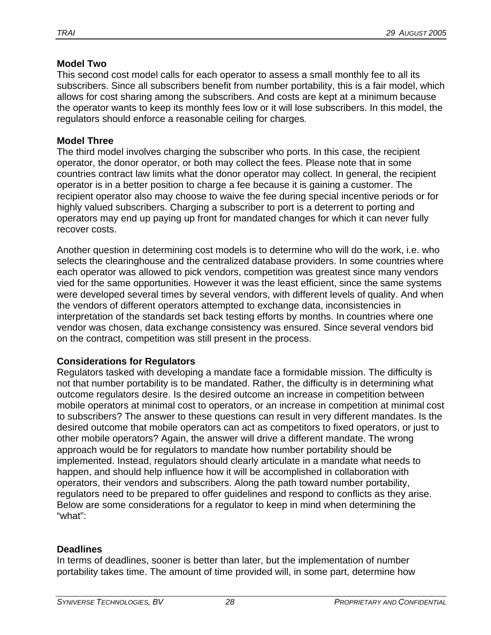#### **Model Two**

This second cost model calls for each operator to assess a small monthly fee to all its subscribers. Since all subscribers benefit from number portability, this is a fair model, which allows for cost sharing among the subscribers. And costs are kept at a minimum because the operator wants to keep its monthly fees low or it will lose subscribers. In this model, the regulators should enforce a reasonable ceiling for charges.

#### **Model Three**

The third model involves charging the subscriber who ports. In this case, the recipient operator, the donor operator, or both may collect the fees. Please note that in some countries contract law limits what the donor operator may collect. In general, the recipient operator is in a better position to charge a fee because it is gaining a customer. The recipient operator also may choose to waive the fee during special incentive periods or for highly valued subscribers. Charging a subscriber to port is a deterrent to porting and operators may end up paying up front for mandated changes for which it can never fully recover costs.

Another question in determining cost models is to determine who will do the work, i.e. who selects the clearinghouse and the centralized database providers. In some countries where each operator was allowed to pick vendors, competition was greatest since many vendors vied for the same opportunities. However it was the least efficient, since the same systems were developed several times by several vendors, with different levels of quality. And when the vendors of different operators attempted to exchange data, inconsistencies in interpretation of the standards set back testing efforts by months. In countries where one vendor was chosen, data exchange consistency was ensured. Since several vendors bid on the contract, competition was still present in the process.

#### **Considerations for Regulators**

Regulators tasked with developing a mandate face a formidable mission. The difficulty is not that number portability is to be mandated. Rather, the difficulty is in determining what outcome regulators desire. Is the desired outcome an increase in competition between mobile operators at minimal cost to operators, or an increase in competition at minimal cost to subscribers? The answer to these questions can result in very different mandates. Is the desired outcome that mobile operators can act as competitors to fixed operators, or just to other mobile operators? Again, the answer will drive a different mandate. The wrong approach would be for regulators to mandate how number portability should be implemented. Instead, regulators should clearly articulate in a mandate what needs to happen, and should help influence how it will be accomplished in collaboration with operators, their vendors and subscribers. Along the path toward number portability, regulators need to be prepared to offer guidelines and respond to conflicts as they arise. Below are some considerations for a regulator to keep in mind when determining the "what":

#### **Deadlines**

In terms of deadlines, sooner is better than later, but the implementation of number portability takes time. The amount of time provided will, in some part, determine how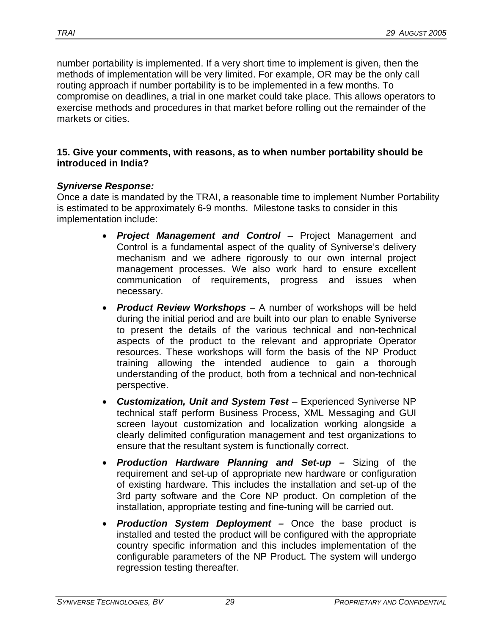number portability is implemented. If a very short time to implement is given, then the methods of implementation will be very limited. For example, OR may be the only call routing approach if number portability is to be implemented in a few months. To compromise on deadlines, a trial in one market could take place. This allows operators to exercise methods and procedures in that market before rolling out the remainder of the markets or cities.

#### **15. Give your comments, with reasons, as to when number portability should be introduced in India?**

#### *Syniverse Response:*

Once a date is mandated by the TRAI, a reasonable time to implement Number Portability is estimated to be approximately 6-9 months. Milestone tasks to consider in this implementation include:

- *Project Management and Control* Project Management and Control is a fundamental aspect of the quality of Syniverse's delivery mechanism and we adhere rigorously to our own internal project management processes. We also work hard to ensure excellent communication of requirements, progress and issues when necessary.
- *Product Review Workshops* A number of workshops will be held during the initial period and are built into our plan to enable Syniverse to present the details of the various technical and non-technical aspects of the product to the relevant and appropriate Operator resources. These workshops will form the basis of the NP Product training allowing the intended audience to gain a thorough understanding of the product, both from a technical and non-technical perspective.
- *Customization, Unit and System Test* Experienced Syniverse NP technical staff perform Business Process, XML Messaging and GUI screen layout customization and localization working alongside a clearly delimited configuration management and test organizations to ensure that the resultant system is functionally correct.
- *Production Hardware Planning and Set-up* Sizing of the requirement and set-up of appropriate new hardware or configuration of existing hardware. This includes the installation and set-up of the 3rd party software and the Core NP product. On completion of the installation, appropriate testing and fine-tuning will be carried out.
- *Production System Deployment* Once the base product is installed and tested the product will be configured with the appropriate country specific information and this includes implementation of the configurable parameters of the NP Product. The system will undergo regression testing thereafter.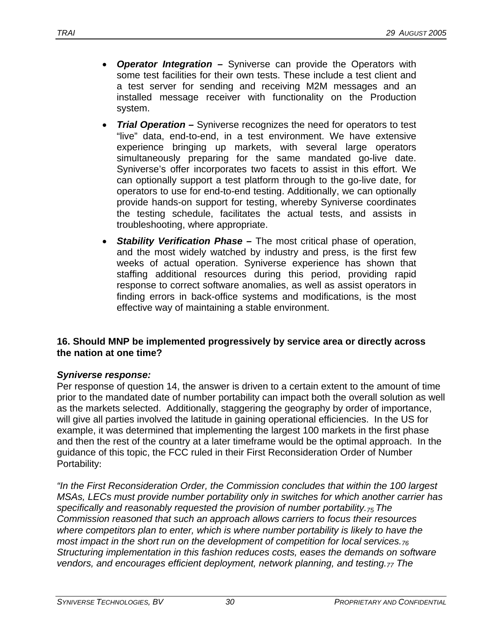- *Operator Integration* Syniverse can provide the Operators with some test facilities for their own tests. These include a test client and a test server for sending and receiving M2M messages and an installed message receiver with functionality on the Production system.
- *Trial Operation* Syniverse recognizes the need for operators to test "live" data, end-to-end, in a test environment. We have extensive experience bringing up markets, with several large operators simultaneously preparing for the same mandated go-live date. Syniverse's offer incorporates two facets to assist in this effort. We can optionally support a test platform through to the go-live date, for operators to use for end-to-end testing. Additionally, we can optionally provide hands-on support for testing, whereby Syniverse coordinates the testing schedule, facilitates the actual tests, and assists in troubleshooting, where appropriate.
- *Stability Verification Phase* The most critical phase of operation, and the most widely watched by industry and press, is the first few weeks of actual operation. Syniverse experience has shown that staffing additional resources during this period, providing rapid response to correct software anomalies, as well as assist operators in finding errors in back-office systems and modifications, is the most effective way of maintaining a stable environment.

#### **16. Should MNP be implemented progressively by service area or directly across the nation at one time?**

#### *Syniverse response:*

Per response of question 14, the answer is driven to a certain extent to the amount of time prior to the mandated date of number portability can impact both the overall solution as well as the markets selected. Additionally, staggering the geography by order of importance, will give all parties involved the latitude in gaining operational efficiencies. In the US for example, it was determined that implementing the largest 100 markets in the first phase and then the rest of the country at a later timeframe would be the optimal approach. In the guidance of this topic, the FCC ruled in their First Reconsideration Order of Number Portability:

*"In the First Reconsideration Order, the Commission concludes that within the 100 largest MSAs, LECs must provide number portability only in switches for which another carrier has*  specifically and reasonably requested the provision of number portability.<sub>75</sub> The *Commission reasoned that such an approach allows carriers to focus their resources where competitors plan to enter, which is where number portability is likely to have the most impact in the short run on the development of competition for local services. Structuring implementation in this fashion reduces costs, eases the demands on software vendors, and encourages efficient deployment, network planning, and testing.<sub>77</sub> The*